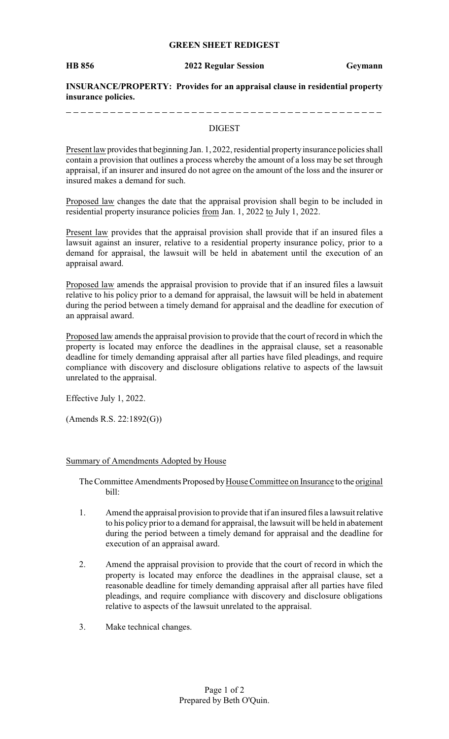### **GREEN SHEET REDIGEST**

**HB 856 2022 Regular Session Geymann**

**INSURANCE/PROPERTY: Provides for an appraisal clause in residential property insurance policies.**

#### DIGEST

Present law provides that beginning Jan. 1, 2022, residential property insurance policies shall contain a provision that outlines a process whereby the amount of a loss may be set through appraisal, if an insurer and insured do not agree on the amount of the loss and the insurer or insured makes a demand for such.

Proposed law changes the date that the appraisal provision shall begin to be included in residential property insurance policies from Jan. 1, 2022 to July 1, 2022.

Present law provides that the appraisal provision shall provide that if an insured files a lawsuit against an insurer, relative to a residential property insurance policy, prior to a demand for appraisal, the lawsuit will be held in abatement until the execution of an appraisal award.

Proposed law amends the appraisal provision to provide that if an insured files a lawsuit relative to his policy prior to a demand for appraisal, the lawsuit will be held in abatement during the period between a timely demand for appraisal and the deadline for execution of an appraisal award.

Proposed law amends the appraisal provision to provide that the court of record in which the property is located may enforce the deadlines in the appraisal clause, set a reasonable deadline for timely demanding appraisal after all parties have filed pleadings, and require compliance with discovery and disclosure obligations relative to aspects of the lawsuit unrelated to the appraisal.

Effective July 1, 2022.

(Amends R.S. 22:1892(G))

#### Summary of Amendments Adopted by House

The Committee Amendments Proposed by House Committee on Insurance to the original bill:

- 1. Amend the appraisal provision to provide that if an insured files a lawsuit relative to his policy prior to a demand for appraisal, the lawsuit will be held in abatement during the period between a timely demand for appraisal and the deadline for execution of an appraisal award.
- 2. Amend the appraisal provision to provide that the court of record in which the property is located may enforce the deadlines in the appraisal clause, set a reasonable deadline for timely demanding appraisal after all parties have filed pleadings, and require compliance with discovery and disclosure obligations relative to aspects of the lawsuit unrelated to the appraisal.
- 3. Make technical changes.